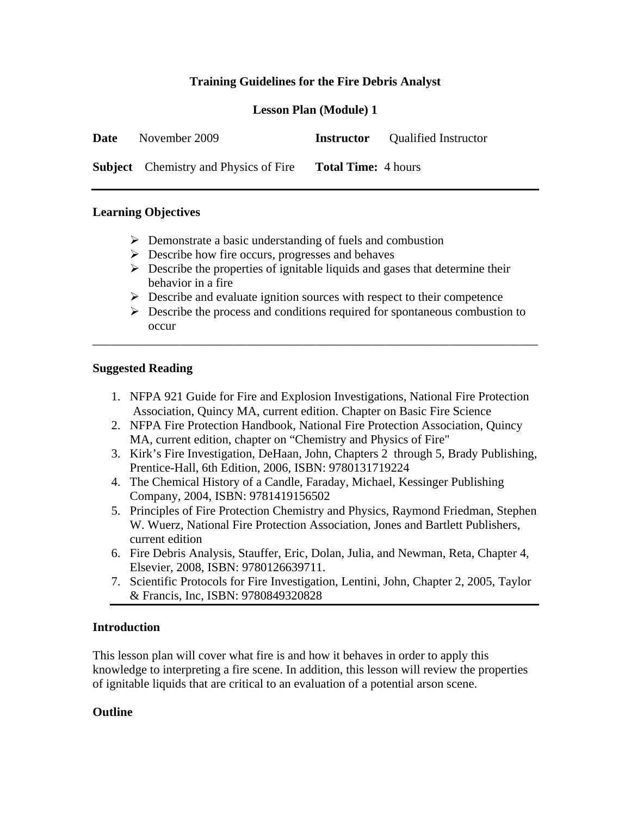# **Training Guidelines for the Fire Debris Analyst**

## **Lesson Plan (Module) 1**

| <b>Date</b> | November 2009                                |                            | <b>Instructor</b> Qualified Instructor |
|-------------|----------------------------------------------|----------------------------|----------------------------------------|
|             | <b>Subject</b> Chemistry and Physics of Fire | <b>Total Time:</b> 4 hours |                                        |

#### **Learning Objectives**

- $\triangleright$  Demonstrate a basic understanding of fuels and combustion
- $\triangleright$  Describe how fire occurs, progresses and behaves
- $\triangleright$  Describe the properties of ignitable liquids and gases that determine their behavior in a fire
- $\triangleright$  Describe and evaluate ignition sources with respect to their competence

\_\_\_\_\_\_\_\_\_\_\_\_\_\_\_\_\_\_\_\_\_\_\_\_\_\_\_\_\_\_\_\_\_\_\_\_\_\_\_\_\_\_\_\_\_\_\_\_\_\_\_\_\_\_\_\_\_\_\_\_\_\_\_\_\_\_\_\_\_\_\_\_

 $\triangleright$  Describe the process and conditions required for spontaneous combustion to occur

#### **Suggested Reading**

- 1. NFPA 921 Guide for Fire and Explosion Investigations, National Fire Protection Association, Quincy MA, current edition. Chapter on Basic Fire Science
- 2. NFPA Fire Protection Handbook, National Fire Protection Association, Quincy MA, current edition, chapter on "Chemistry and Physics of Fire"
- 3. Kirk's Fire Investigation, DeHaan, John, Chapters 2 through 5, Brady Publishing, Prentice-Hall, 6th Edition, 2006, ISBN: 9780131719224
- 4. The Chemical History of a Candle, Faraday, Michael, Kessinger Publishing Company, 2004, ISBN: 9781419156502
- 5. Principles of Fire Protection Chemistry and Physics, Raymond Friedman, Stephen W. Wuerz, National Fire Protection Association, Jones and Bartlett Publishers, current edition
- 6. Fire Debris Analysis, Stauffer, Eric, Dolan, Julia, and Newman, Reta, Chapter 4, Elsevier, 2008, ISBN: 9780126639711.
- 7. Scientific Protocols for Fire Investigation, Lentini, John, Chapter 2, 2005, Taylor & Francis, Inc, ISBN: 9780849320828

## **Introduction**

This lesson plan will cover what fire is and how it behaves in order to apply this knowledge to interpreting a fire scene. In addition, this lesson will review the properties of ignitable liquids that are critical to an evaluation of a potential arson scene.

## **Outline**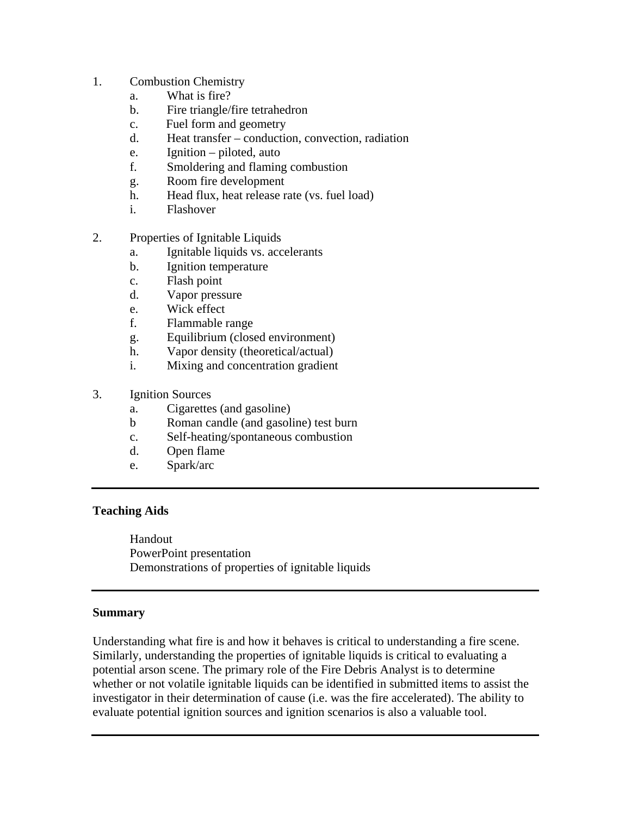- 1. Combustion Chemistry
	- a. What is fire?
	- b. Fire triangle/fire tetrahedron
	- c. Fuel form and geometry
	- d. Heat transfer conduction, convection, radiation
	- e. Ignition piloted, auto
	- f. Smoldering and flaming combustion
	- g. Room fire development
	- h. Head flux, heat release rate (vs. fuel load)
	- i. Flashover
- 2. Properties of Ignitable Liquids
	- a. Ignitable liquids vs. accelerants
	- b. Ignition temperature
	- c. Flash point
	- d. Vapor pressure
	- e. Wick effect
	- f. Flammable range
	- g. Equilibrium (closed environment)
	- h. Vapor density (theoretical/actual)
	- i. Mixing and concentration gradient
- 3. Ignition Sources
	- a. Cigarettes (and gasoline)
	- b Roman candle (and gasoline) test burn
	- c. Self-heating/spontaneous combustion
	- d. Open flame
	- e. Spark/arc

## **Teaching Aids**

 Handout PowerPoint presentation Demonstrations of properties of ignitable liquids

## **Summary**

Understanding what fire is and how it behaves is critical to understanding a fire scene. Similarly, understanding the properties of ignitable liquids is critical to evaluating a potential arson scene. The primary role of the Fire Debris Analyst is to determine whether or not volatile ignitable liquids can be identified in submitted items to assist the investigator in their determination of cause (i.e. was the fire accelerated). The ability to evaluate potential ignition sources and ignition scenarios is also a valuable tool.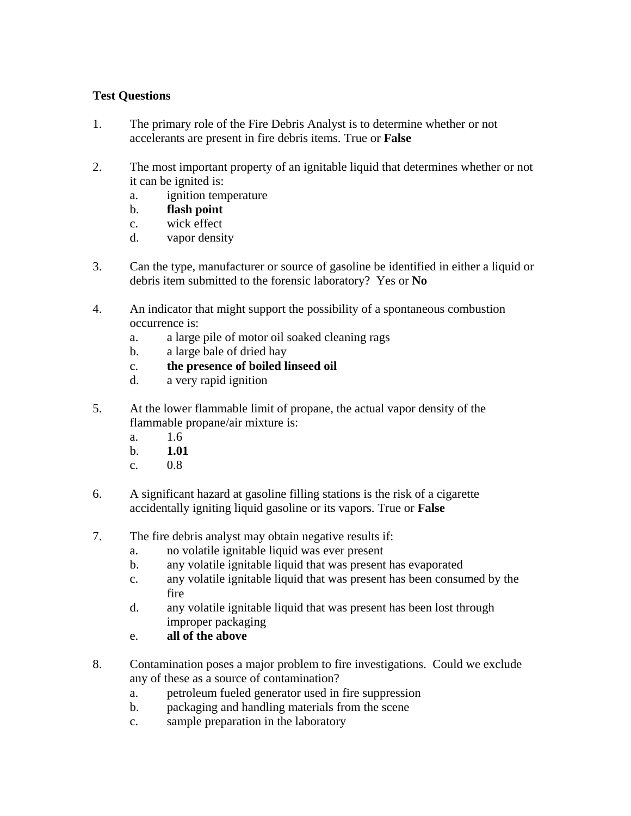# **Test Questions**

- 1. The primary role of the Fire Debris Analyst is to determine whether or not accelerants are present in fire debris items. True or **False**
- 2. The most important property of an ignitable liquid that determines whether or not it can be ignited is:
	- a. ignition temperature
	- b. **flash point**
	- c. wick effect
	- d. vapor density
- 3. Can the type, manufacturer or source of gasoline be identified in either a liquid or debris item submitted to the forensic laboratory? Yes or **No**
- 4. An indicator that might support the possibility of a spontaneous combustion occurrence is:
	- a. a large pile of motor oil soaked cleaning rags
	- b. a large bale of dried hay
	- c. **the presence of boiled linseed oil**
	- d. a very rapid ignition
- 5. At the lower flammable limit of propane, the actual vapor density of the flammable propane/air mixture is:
	- a. 1.6
	- b. **1.01**
	- c. 0.8
- 6. A significant hazard at gasoline filling stations is the risk of a cigarette accidentally igniting liquid gasoline or its vapors. True or **False**
- 7. The fire debris analyst may obtain negative results if:
	- a. no volatile ignitable liquid was ever present
	- b. any volatile ignitable liquid that was present has evaporated
	- c. any volatile ignitable liquid that was present has been consumed by the fire
	- d. any volatile ignitable liquid that was present has been lost through improper packaging
	- e. **all of the above**
- 8. Contamination poses a major problem to fire investigations. Could we exclude any of these as a source of contamination?
	- a. petroleum fueled generator used in fire suppression
	- b. packaging and handling materials from the scene
	- c. sample preparation in the laboratory